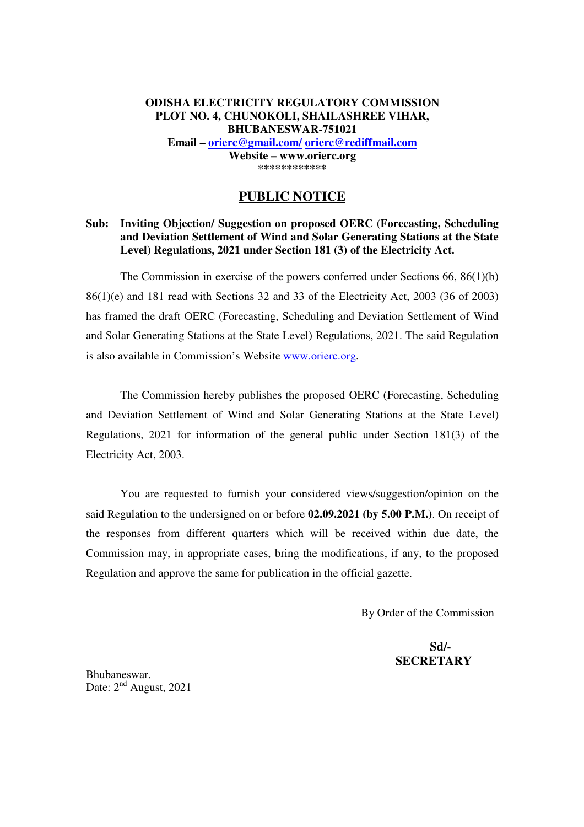## **ODISHA ELECTRICITY REGULATORY COMMISSION PLOT NO. 4, CHUNOKOLI, SHAILASHREE VIHAR, BHUBANESWAR-751021 Email – orierc@gmail.com/ orierc@rediffmail.com**

**Website – www.orierc.org \*\*\*\*\*\*\*\*\*\*\*\*** 

# **PUBLIC NOTICE**

## **Sub: Inviting Objection/ Suggestion on proposed OERC (Forecasting, Scheduling and Deviation Settlement of Wind and Solar Generating Stations at the State Level) Regulations, 2021 under Section 181 (3) of the Electricity Act.**

The Commission in exercise of the powers conferred under Sections 66, 86(1)(b) 86(1)(e) and 181 read with Sections 32 and 33 of the Electricity Act, 2003 (36 of 2003) has framed the draft OERC (Forecasting, Scheduling and Deviation Settlement of Wind and Solar Generating Stations at the State Level) Regulations, 2021. The said Regulation is also available in Commission's Website www.orierc.org.

 The Commission hereby publishes the proposed OERC (Forecasting, Scheduling and Deviation Settlement of Wind and Solar Generating Stations at the State Level) Regulations, 2021 for information of the general public under Section 181(3) of the Electricity Act, 2003.

 You are requested to furnish your considered views/suggestion/opinion on the said Regulation to the undersigned on or before **02.09.2021 (by 5.00 P.M.)**. On receipt of the responses from different quarters which will be received within due date, the Commission may, in appropriate cases, bring the modifications, if any, to the proposed Regulation and approve the same for publication in the official gazette.

By Order of the Commission

# **Sd/- SECRETARY**

Bhubaneswar. Date:  $2<sup>nd</sup>$  August, 2021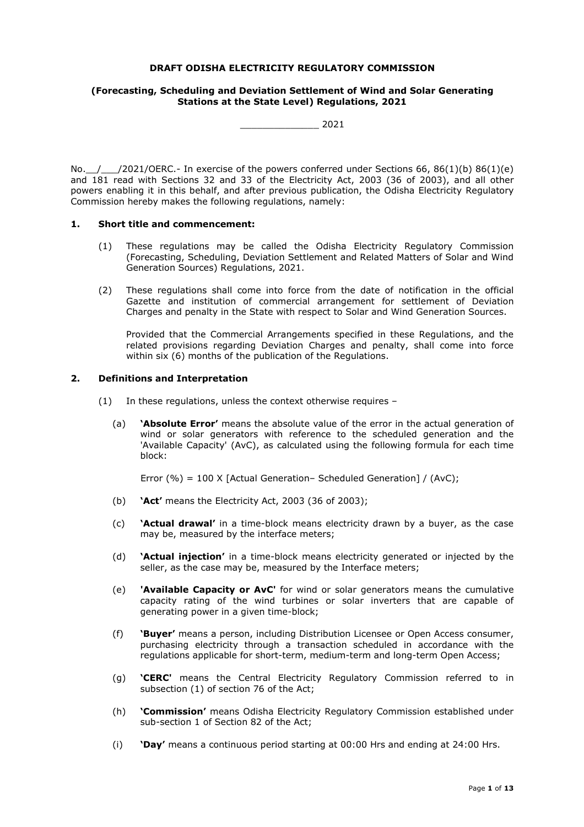#### **DRAFT ODISHA ELECTRICITY REGULATORY COMMISSION**

#### **(Forecasting, Scheduling and Deviation Settlement of Wind and Solar Generating Stations at the State Level) Regulations, 2021**

\_\_\_\_\_\_\_\_\_\_\_\_\_\_ 2021

No.  $/$  /2021/OERC.- In exercise of the powers conferred under Sections 66, 86(1)(b) 86(1)(e) and 181 read with Sections 32 and 33 of the Electricity Act, 2003 (36 of 2003), and all other powers enabling it in this behalf, and after previous publication, the Odisha Electricity Regulatory Commission hereby makes the following regulations, namely:

#### **1. Short title and commencement:**

- (1) These regulations may be called the Odisha Electricity Regulatory Commission (Forecasting, Scheduling, Deviation Settlement and Related Matters of Solar and Wind Generation Sources) Regulations, 2021.
- (2) These regulations shall come into force from the date of notification in the official Gazette and institution of commercial arrangement for settlement of Deviation Charges and penalty in the State with respect to Solar and Wind Generation Sources.

Provided that the Commercial Arrangements specified in these Regulations, and the related provisions regarding Deviation Charges and penalty, shall come into force within six (6) months of the publication of the Regulations.

#### **2. Definitions and Interpretation**

- (1) In these regulations, unless the context otherwise requires
	- (a) **'Absolute Error'** means the absolute value of the error in the actual generation of wind or solar generators with reference to the scheduled generation and the 'Available Capacity' (AvC), as calculated using the following formula for each time block:

Error (%) = 100 X [Actual Generation– Scheduled Generation] / (AvC);

- (b) **'Act'** means the Electricity Act, 2003 (36 of 2003);
- (c) **'Actual drawal'** in a time-block means electricity drawn by a buyer, as the case may be, measured by the interface meters;
- (d) **'Actual injection'** in a time-block means electricity generated or injected by the seller, as the case may be, measured by the Interface meters;
- (e) **'Available Capacity or AvC'** for wind or solar generators means the cumulative capacity rating of the wind turbines or solar inverters that are capable of generating power in a given time-block;
- (f) **'Buyer'** means a person, including Distribution Licensee or Open Access consumer, purchasing electricity through a transaction scheduled in accordance with the regulations applicable for short-term, medium-term and long-term Open Access;
- (g) **'CERC'** means the Central Electricity Regulatory Commission referred to in subsection (1) of section 76 of the Act;
- (h) **'Commission'** means Odisha Electricity Regulatory Commission established under sub-section 1 of Section 82 of the Act;
- (i) **'Day'** means a continuous period starting at 00:00 Hrs and ending at 24:00 Hrs.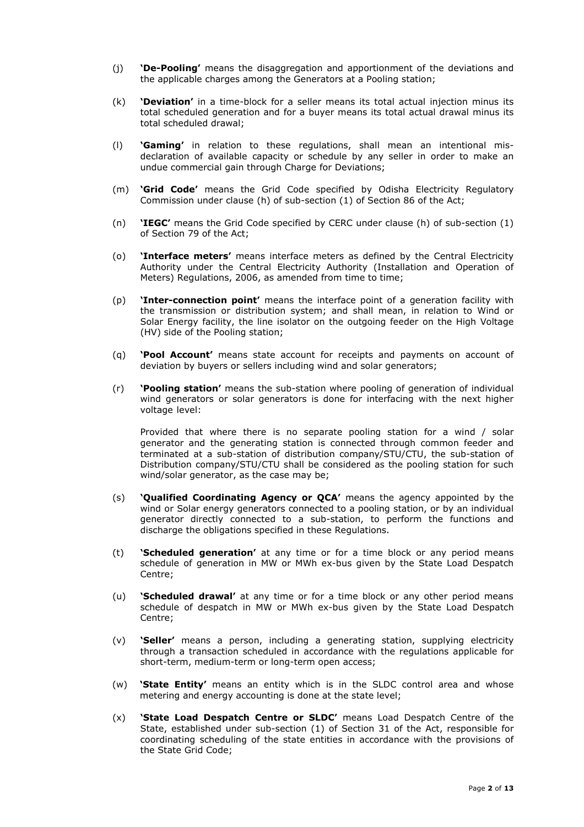- (j) **'De-Pooling'** means the disaggregation and apportionment of the deviations and the applicable charges among the Generators at a Pooling station;
- (k) **'Deviation'** in a time-block for a seller means its total actual injection minus its total scheduled generation and for a buyer means its total actual drawal minus its total scheduled drawal;
- (l) **'Gaming'** in relation to these regulations, shall mean an intentional misdeclaration of available capacity or schedule by any seller in order to make an undue commercial gain through Charge for Deviations;
- (m) **'Grid Code'** means the Grid Code specified by Odisha Electricity Regulatory Commission under clause (h) of sub-section (1) of Section 86 of the Act;
- (n) **'IEGC'** means the Grid Code specified by CERC under clause (h) of sub-section (1) of Section 79 of the Act;
- (o) **'Interface meters'** means interface meters as defined by the Central Electricity Authority under the Central Electricity Authority (Installation and Operation of Meters) Regulations, 2006, as amended from time to time;
- (p) **'Inter-connection point'** means the interface point of a generation facility with the transmission or distribution system; and shall mean, in relation to Wind or Solar Energy facility, the line isolator on the outgoing feeder on the High Voltage (HV) side of the Pooling station;
- (q) **'Pool Account'** means state account for receipts and payments on account of deviation by buyers or sellers including wind and solar generators;
- (r) **'Pooling station'** means the sub-station where pooling of generation of individual wind generators or solar generators is done for interfacing with the next higher voltage level:

Provided that where there is no separate pooling station for a wind / solar generator and the generating station is connected through common feeder and terminated at a sub-station of distribution company/STU/CTU, the sub-station of Distribution company/STU/CTU shall be considered as the pooling station for such wind/solar generator, as the case may be;

- (s) **'Qualified Coordinating Agency or QCA'** means the agency appointed by the wind or Solar energy generators connected to a pooling station, or by an individual generator directly connected to a sub-station, to perform the functions and discharge the obligations specified in these Regulations.
- (t) **'Scheduled generation'** at any time or for a time block or any period means schedule of generation in MW or MWh ex-bus given by the State Load Despatch Centre;
- (u) **'Scheduled drawal'** at any time or for a time block or any other period means schedule of despatch in MW or MWh ex-bus given by the State Load Despatch Centre;
- (v) **'Seller'** means a person, including a generating station, supplying electricity through a transaction scheduled in accordance with the regulations applicable for short-term, medium-term or long-term open access;
- (w) **'State Entity'** means an entity which is in the SLDC control area and whose metering and energy accounting is done at the state level;
- (x) **'State Load Despatch Centre or SLDC'** means Load Despatch Centre of the State, established under sub-section (1) of Section 31 of the Act, responsible for coordinating scheduling of the state entities in accordance with the provisions of the State Grid Code;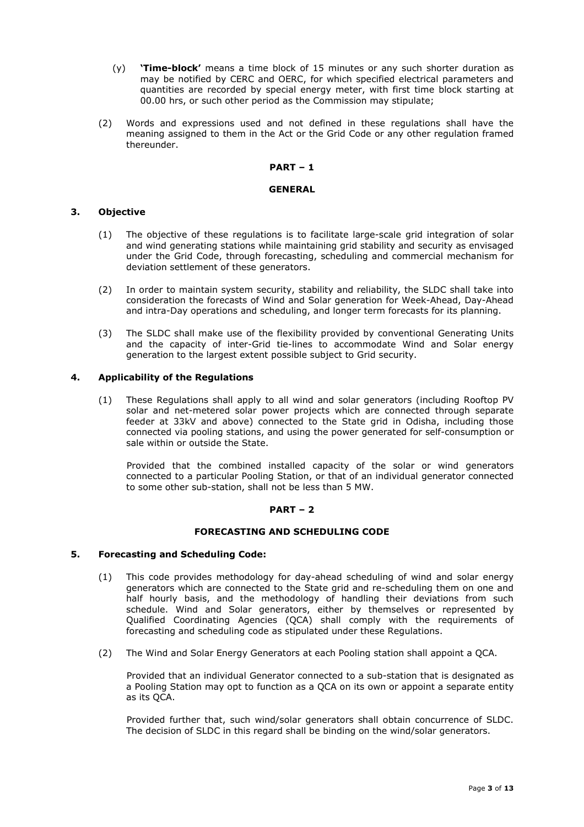- (y) **'Time-block'** means a time block of 15 minutes or any such shorter duration as may be notified by CERC and OERC, for which specified electrical parameters and quantities are recorded by special energy meter, with first time block starting at 00.00 hrs, or such other period as the Commission may stipulate;
- (2) Words and expressions used and not defined in these regulations shall have the meaning assigned to them in the Act or the Grid Code or any other regulation framed thereunder.

### **PART – 1**

## **GENERAL**

## **3. Objective**

- (1) The objective of these regulations is to facilitate large-scale grid integration of solar and wind generating stations while maintaining grid stability and security as envisaged under the Grid Code, through forecasting, scheduling and commercial mechanism for deviation settlement of these generators.
- (2) In order to maintain system security, stability and reliability, the SLDC shall take into consideration the forecasts of Wind and Solar generation for Week-Ahead, Day-Ahead and intra-Day operations and scheduling, and longer term forecasts for its planning.
- (3) The SLDC shall make use of the flexibility provided by conventional Generating Units and the capacity of inter-Grid tie-lines to accommodate Wind and Solar energy generation to the largest extent possible subject to Grid security.

## **4. Applicability of the Regulations**

(1) These Regulations shall apply to all wind and solar generators (including Rooftop PV solar and net-metered solar power projects which are connected through separate feeder at 33kV and above) connected to the State grid in Odisha, including those connected via pooling stations, and using the power generated for self-consumption or sale within or outside the State.

Provided that the combined installed capacity of the solar or wind generators connected to a particular Pooling Station, or that of an individual generator connected to some other sub-station, shall not be less than 5 MW.

## **PART – 2**

## **FORECASTING AND SCHEDULING CODE**

## **5. Forecasting and Scheduling Code:**

- (1) This code provides methodology for day-ahead scheduling of wind and solar energy generators which are connected to the State grid and re-scheduling them on one and half hourly basis, and the methodology of handling their deviations from such schedule. Wind and Solar generators, either by themselves or represented by Qualified Coordinating Agencies (QCA) shall comply with the requirements of forecasting and scheduling code as stipulated under these Regulations.
- (2) The Wind and Solar Energy Generators at each Pooling station shall appoint a QCA.

Provided that an individual Generator connected to a sub-station that is designated as a Pooling Station may opt to function as a QCA on its own or appoint a separate entity as its QCA.

Provided further that, such wind/solar generators shall obtain concurrence of SLDC. The decision of SLDC in this regard shall be binding on the wind/solar generators.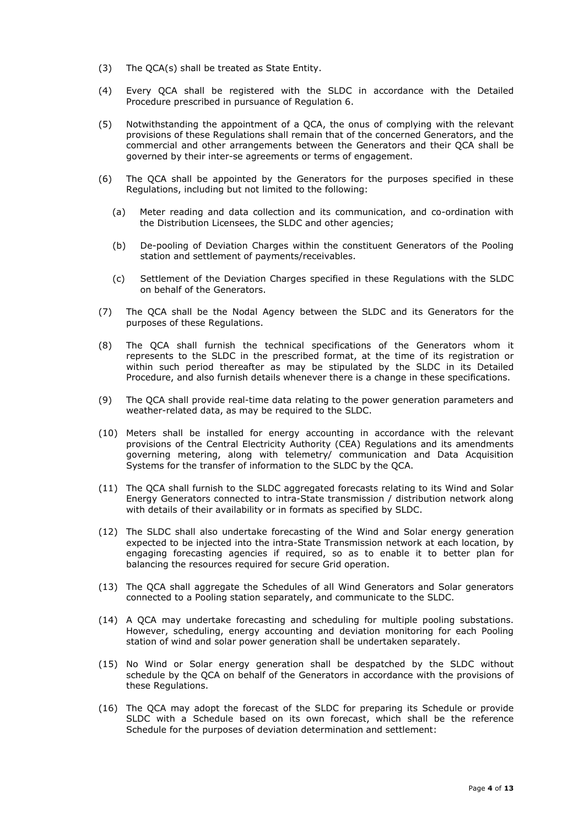- (3) The QCA(s) shall be treated as State Entity.
- (4) Every QCA shall be registered with the SLDC in accordance with the Detailed Procedure prescribed in pursuance of Regulation 6.
- (5) Notwithstanding the appointment of a QCA, the onus of complying with the relevant provisions of these Regulations shall remain that of the concerned Generators, and the commercial and other arrangements between the Generators and their QCA shall be governed by their inter-se agreements or terms of engagement.
- (6) The QCA shall be appointed by the Generators for the purposes specified in these Regulations, including but not limited to the following:
	- (a) Meter reading and data collection and its communication, and co-ordination with the Distribution Licensees, the SLDC and other agencies;
	- (b) De-pooling of Deviation Charges within the constituent Generators of the Pooling station and settlement of payments/receivables.
	- (c) Settlement of the Deviation Charges specified in these Regulations with the SLDC on behalf of the Generators.
- (7) The QCA shall be the Nodal Agency between the SLDC and its Generators for the purposes of these Regulations.
- (8) The QCA shall furnish the technical specifications of the Generators whom it represents to the SLDC in the prescribed format, at the time of its registration or within such period thereafter as may be stipulated by the SLDC in its Detailed Procedure, and also furnish details whenever there is a change in these specifications.
- (9) The QCA shall provide real-time data relating to the power generation parameters and weather-related data, as may be required to the SLDC.
- (10) Meters shall be installed for energy accounting in accordance with the relevant provisions of the Central Electricity Authority (CEA) Regulations and its amendments governing metering, along with telemetry/ communication and Data Acquisition Systems for the transfer of information to the SLDC by the QCA.
- (11) The QCA shall furnish to the SLDC aggregated forecasts relating to its Wind and Solar Energy Generators connected to intra-State transmission / distribution network along with details of their availability or in formats as specified by SLDC.
- (12) The SLDC shall also undertake forecasting of the Wind and Solar energy generation expected to be injected into the intra-State Transmission network at each location, by engaging forecasting agencies if required, so as to enable it to better plan for balancing the resources required for secure Grid operation.
- (13) The QCA shall aggregate the Schedules of all Wind Generators and Solar generators connected to a Pooling station separately, and communicate to the SLDC.
- (14) A QCA may undertake forecasting and scheduling for multiple pooling substations. However, scheduling, energy accounting and deviation monitoring for each Pooling station of wind and solar power generation shall be undertaken separately.
- (15) No Wind or Solar energy generation shall be despatched by the SLDC without schedule by the QCA on behalf of the Generators in accordance with the provisions of these Regulations.
- (16) The QCA may adopt the forecast of the SLDC for preparing its Schedule or provide SLDC with a Schedule based on its own forecast, which shall be the reference Schedule for the purposes of deviation determination and settlement: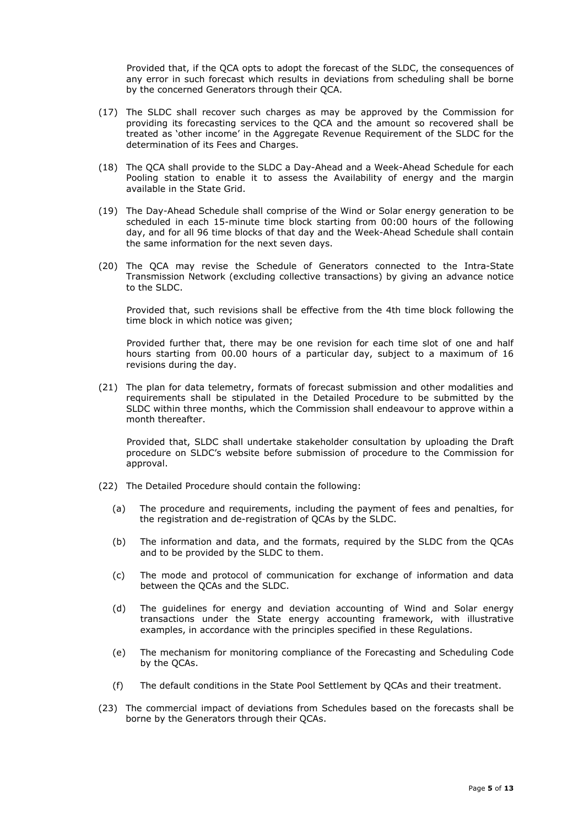Provided that, if the QCA opts to adopt the forecast of the SLDC, the consequences of any error in such forecast which results in deviations from scheduling shall be borne by the concerned Generators through their QCA.

- (17) The SLDC shall recover such charges as may be approved by the Commission for providing its forecasting services to the QCA and the amount so recovered shall be treated as 'other income' in the Aggregate Revenue Requirement of the SLDC for the determination of its Fees and Charges.
- (18) The QCA shall provide to the SLDC a Day-Ahead and a Week-Ahead Schedule for each Pooling station to enable it to assess the Availability of energy and the margin available in the State Grid.
- (19) The Day-Ahead Schedule shall comprise of the Wind or Solar energy generation to be scheduled in each 15-minute time block starting from 00:00 hours of the following day, and for all 96 time blocks of that day and the Week-Ahead Schedule shall contain the same information for the next seven days.
- (20) The QCA may revise the Schedule of Generators connected to the Intra-State Transmission Network (excluding collective transactions) by giving an advance notice to the SLDC.

Provided that, such revisions shall be effective from the 4th time block following the time block in which notice was given;

Provided further that, there may be one revision for each time slot of one and half hours starting from 00.00 hours of a particular day, subject to a maximum of 16 revisions during the day.

(21) The plan for data telemetry, formats of forecast submission and other modalities and requirements shall be stipulated in the Detailed Procedure to be submitted by the SLDC within three months, which the Commission shall endeavour to approve within a month thereafter.

Provided that, SLDC shall undertake stakeholder consultation by uploading the Draft procedure on SLDC's website before submission of procedure to the Commission for approval.

- (22) The Detailed Procedure should contain the following:
	- (a) The procedure and requirements, including the payment of fees and penalties, for the registration and de-registration of QCAs by the SLDC.
	- (b) The information and data, and the formats, required by the SLDC from the QCAs and to be provided by the SLDC to them.
	- (c) The mode and protocol of communication for exchange of information and data between the QCAs and the SLDC.
	- (d) The guidelines for energy and deviation accounting of Wind and Solar energy transactions under the State energy accounting framework, with illustrative examples, in accordance with the principles specified in these Regulations.
	- (e) The mechanism for monitoring compliance of the Forecasting and Scheduling Code by the QCAs.
	- (f) The default conditions in the State Pool Settlement by QCAs and their treatment.
- (23) The commercial impact of deviations from Schedules based on the forecasts shall be borne by the Generators through their QCAs.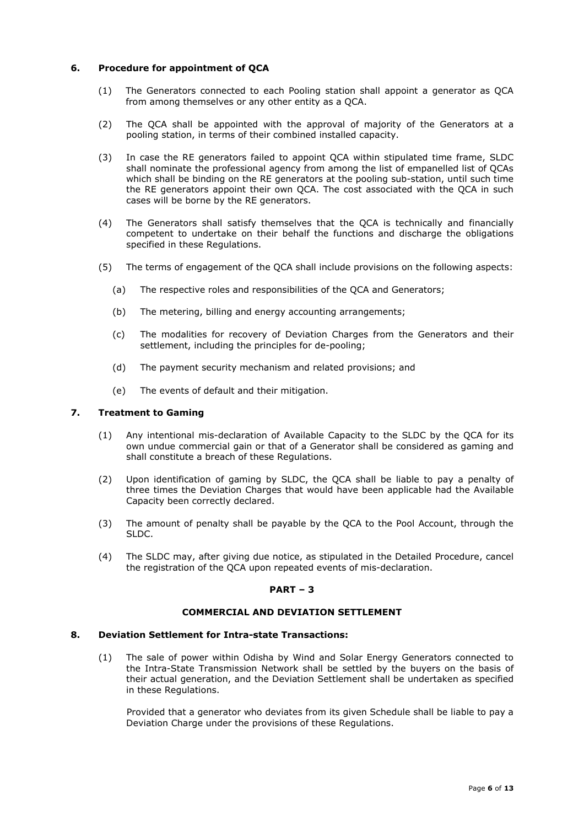## **6. Procedure for appointment of QCA**

- (1) The Generators connected to each Pooling station shall appoint a generator as QCA from among themselves or any other entity as a QCA.
- (2) The QCA shall be appointed with the approval of majority of the Generators at a pooling station, in terms of their combined installed capacity.
- (3) In case the RE generators failed to appoint QCA within stipulated time frame, SLDC shall nominate the professional agency from among the list of empanelled list of QCAs which shall be binding on the RE generators at the pooling sub-station, until such time the RE generators appoint their own QCA. The cost associated with the QCA in such cases will be borne by the RE generators.
- (4) The Generators shall satisfy themselves that the QCA is technically and financially competent to undertake on their behalf the functions and discharge the obligations specified in these Regulations.
- (5) The terms of engagement of the QCA shall include provisions on the following aspects:
	- (a) The respective roles and responsibilities of the QCA and Generators;
	- (b) The metering, billing and energy accounting arrangements;
	- (c) The modalities for recovery of Deviation Charges from the Generators and their settlement, including the principles for de-pooling;
	- (d) The payment security mechanism and related provisions; and
	- (e) The events of default and their mitigation.

### **7. Treatment to Gaming**

- (1) Any intentional mis-declaration of Available Capacity to the SLDC by the QCA for its own undue commercial gain or that of a Generator shall be considered as gaming and shall constitute a breach of these Regulations.
- (2) Upon identification of gaming by SLDC, the QCA shall be liable to pay a penalty of three times the Deviation Charges that would have been applicable had the Available Capacity been correctly declared.
- (3) The amount of penalty shall be payable by the QCA to the Pool Account, through the SLDC.
- (4) The SLDC may, after giving due notice, as stipulated in the Detailed Procedure, cancel the registration of the QCA upon repeated events of mis-declaration.

## **PART – 3**

### **COMMERCIAL AND DEVIATION SETTLEMENT**

#### **8. Deviation Settlement for Intra-state Transactions:**

(1) The sale of power within Odisha by Wind and Solar Energy Generators connected to the Intra-State Transmission Network shall be settled by the buyers on the basis of their actual generation, and the Deviation Settlement shall be undertaken as specified in these Regulations.

Provided that a generator who deviates from its given Schedule shall be liable to pay a Deviation Charge under the provisions of these Regulations.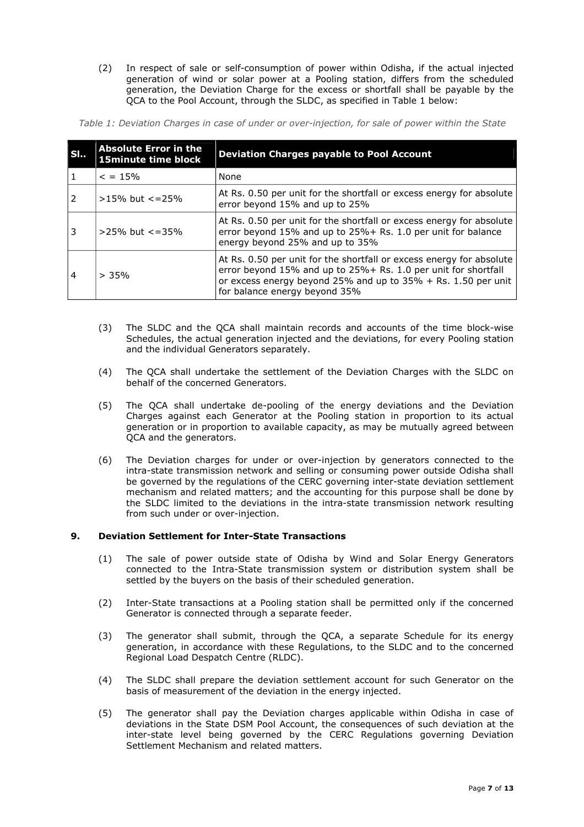(2) In respect of sale or self-consumption of power within Odisha, if the actual injected generation of wind or solar power at a Pooling station, differs from the scheduled generation, the Deviation Charge for the excess or shortfall shall be payable by the QCA to the Pool Account, through the SLDC, as specified in Table 1 below:

| Table 1: Deviation Charges in case of under or over-injection, for sale of power within the State |  |  |  |
|---------------------------------------------------------------------------------------------------|--|--|--|
|---------------------------------------------------------------------------------------------------|--|--|--|

| SI             | <b>Absolute Error in the</b><br><b>15minute time block</b> | <b>Deviation Charges payable to Pool Account</b>                                                                                                                                                                                            |
|----------------|------------------------------------------------------------|---------------------------------------------------------------------------------------------------------------------------------------------------------------------------------------------------------------------------------------------|
|                | $\epsilon = 15\%$                                          | None                                                                                                                                                                                                                                        |
|                | $>15\%$ but $\lt$ = 25%                                    | At Rs. 0.50 per unit for the shortfall or excess energy for absolute<br>error beyond 15% and up to 25%                                                                                                                                      |
| 3              | $>25\%$ but $\lt$ = 35%                                    | At Rs. 0.50 per unit for the shortfall or excess energy for absolute<br>error beyond 15% and up to 25%+ Rs. 1.0 per unit for balance<br>energy beyond 25% and up to 35%                                                                     |
| $\overline{4}$ | > 35%                                                      | At Rs. 0.50 per unit for the shortfall or excess energy for absolute<br>error beyond 15% and up to 25% + Rs. 1.0 per unit for shortfall<br>or excess energy beyond 25% and up to $35% + Rs. 1.50$ per unit<br>for balance energy beyond 35% |

- (3) The SLDC and the QCA shall maintain records and accounts of the time block-wise Schedules, the actual generation injected and the deviations, for every Pooling station and the individual Generators separately.
- (4) The QCA shall undertake the settlement of the Deviation Charges with the SLDC on behalf of the concerned Generators.
- (5) The QCA shall undertake de-pooling of the energy deviations and the Deviation Charges against each Generator at the Pooling station in proportion to its actual generation or in proportion to available capacity, as may be mutually agreed between QCA and the generators.
- (6) The Deviation charges for under or over-injection by generators connected to the intra-state transmission network and selling or consuming power outside Odisha shall be governed by the regulations of the CERC governing inter-state deviation settlement mechanism and related matters; and the accounting for this purpose shall be done by the SLDC limited to the deviations in the intra-state transmission network resulting from such under or over-injection.

## **9. Deviation Settlement for Inter-State Transactions**

- (1) The sale of power outside state of Odisha by Wind and Solar Energy Generators connected to the Intra-State transmission system or distribution system shall be settled by the buyers on the basis of their scheduled generation.
- (2) Inter-State transactions at a Pooling station shall be permitted only if the concerned Generator is connected through a separate feeder.
- (3) The generator shall submit, through the QCA, a separate Schedule for its energy generation, in accordance with these Regulations, to the SLDC and to the concerned Regional Load Despatch Centre (RLDC).
- (4) The SLDC shall prepare the deviation settlement account for such Generator on the basis of measurement of the deviation in the energy injected.
- (5) The generator shall pay the Deviation charges applicable within Odisha in case of deviations in the State DSM Pool Account, the consequences of such deviation at the inter-state level being governed by the CERC Regulations governing Deviation Settlement Mechanism and related matters.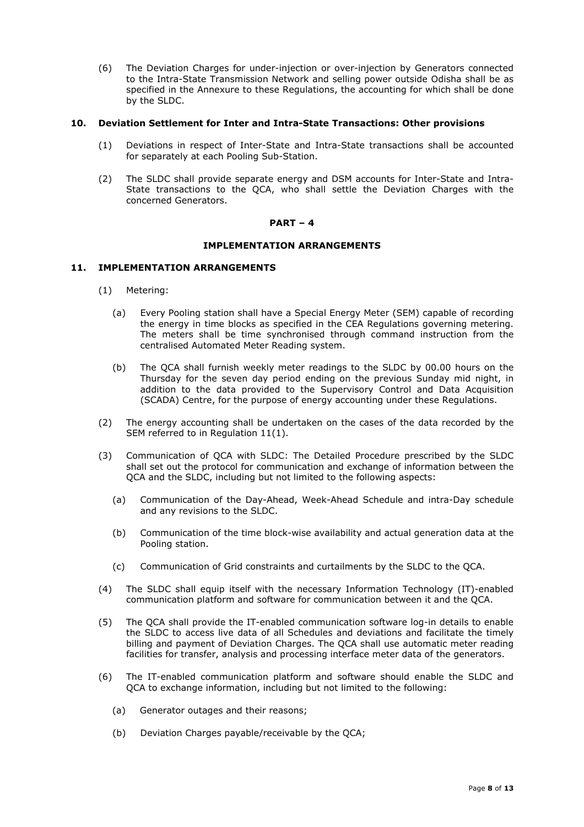(6) The Deviation Charges for under-injection or over-injection by Generators connected to the Intra-State Transmission Network and selling power outside Odisha shall be as specified in the Annexure to these Regulations, the accounting for which shall be done by the SLDC.

## **10. Deviation Settlement for Inter and Intra-State Transactions: Other provisions**

- (1) Deviations in respect of Inter-State and Intra-State transactions shall be accounted for separately at each Pooling Sub-Station.
- (2) The SLDC shall provide separate energy and DSM accounts for Inter-State and Intra-State transactions to the QCA, who shall settle the Deviation Charges with the concerned Generators.

#### **PART – 4**

### **IMPLEMENTATION ARRANGEMENTS**

## **11. IMPLEMENTATION ARRANGEMENTS**

- (1) Metering:
	- (a) Every Pooling station shall have a Special Energy Meter (SEM) capable of recording the energy in time blocks as specified in the CEA Regulations governing metering. The meters shall be time synchronised through command instruction from the centralised Automated Meter Reading system.
	- (b) The QCA shall furnish weekly meter readings to the SLDC by 00.00 hours on the Thursday for the seven day period ending on the previous Sunday mid night, in addition to the data provided to the Supervisory Control and Data Acquisition (SCADA) Centre, for the purpose of energy accounting under these Regulations.
- (2) The energy accounting shall be undertaken on the cases of the data recorded by the SEM referred to in Regulation 11(1).
- (3) Communication of QCA with SLDC: The Detailed Procedure prescribed by the SLDC shall set out the protocol for communication and exchange of information between the QCA and the SLDC, including but not limited to the following aspects:
	- (a) Communication of the Day-Ahead, Week-Ahead Schedule and intra-Day schedule and any revisions to the SLDC.
	- (b) Communication of the time block-wise availability and actual generation data at the Pooling station.
	- (c) Communication of Grid constraints and curtailments by the SLDC to the QCA.
- (4) The SLDC shall equip itself with the necessary Information Technology (IT)-enabled communication platform and software for communication between it and the QCA.
- (5) The QCA shall provide the IT-enabled communication software log-in details to enable the SLDC to access live data of all Schedules and deviations and facilitate the timely billing and payment of Deviation Charges. The QCA shall use automatic meter reading facilities for transfer, analysis and processing interface meter data of the generators.
- (6) The IT-enabled communication platform and software should enable the SLDC and QCA to exchange information, including but not limited to the following:
	- (a) Generator outages and their reasons;
	- (b) Deviation Charges payable/receivable by the QCA;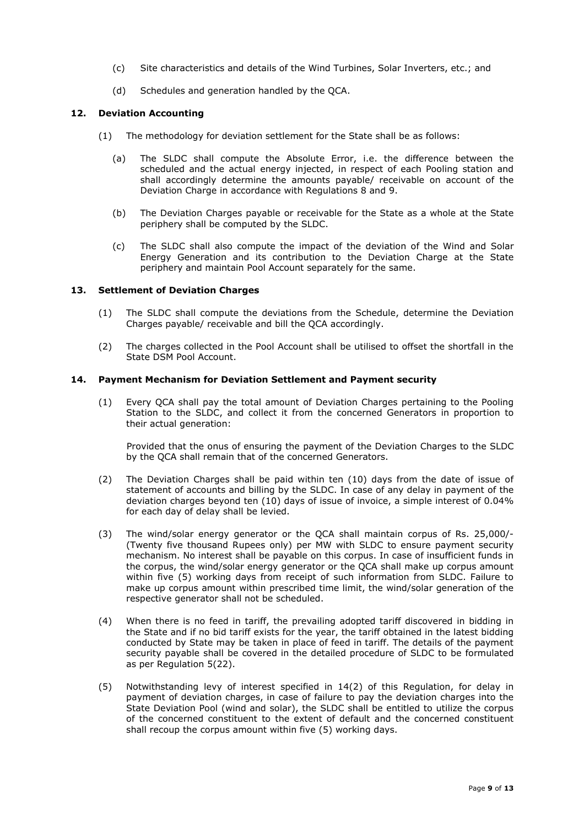- (c) Site characteristics and details of the Wind Turbines, Solar Inverters, etc.; and
- (d) Schedules and generation handled by the QCA.

## **12. Deviation Accounting**

- (1) The methodology for deviation settlement for the State shall be as follows:
	- (a) The SLDC shall compute the Absolute Error, i.e. the difference between the scheduled and the actual energy injected, in respect of each Pooling station and shall accordingly determine the amounts payable/ receivable on account of the Deviation Charge in accordance with Regulations 8 and 9.
	- (b) The Deviation Charges payable or receivable for the State as a whole at the State periphery shall be computed by the SLDC.
	- (c) The SLDC shall also compute the impact of the deviation of the Wind and Solar Energy Generation and its contribution to the Deviation Charge at the State periphery and maintain Pool Account separately for the same.

## **13. Settlement of Deviation Charges**

- (1) The SLDC shall compute the deviations from the Schedule, determine the Deviation Charges payable/ receivable and bill the QCA accordingly.
- (2) The charges collected in the Pool Account shall be utilised to offset the shortfall in the State DSM Pool Account.

#### **14. Payment Mechanism for Deviation Settlement and Payment security**

(1) Every QCA shall pay the total amount of Deviation Charges pertaining to the Pooling Station to the SLDC, and collect it from the concerned Generators in proportion to their actual generation:

Provided that the onus of ensuring the payment of the Deviation Charges to the SLDC by the QCA shall remain that of the concerned Generators.

- (2) The Deviation Charges shall be paid within ten (10) days from the date of issue of statement of accounts and billing by the SLDC. In case of any delay in payment of the deviation charges beyond ten (10) days of issue of invoice, a simple interest of 0.04% for each day of delay shall be levied.
- (3) The wind/solar energy generator or the QCA shall maintain corpus of Rs. 25,000/- (Twenty five thousand Rupees only) per MW with SLDC to ensure payment security mechanism. No interest shall be payable on this corpus. In case of insufficient funds in the corpus, the wind/solar energy generator or the QCA shall make up corpus amount within five (5) working days from receipt of such information from SLDC. Failure to make up corpus amount within prescribed time limit, the wind/solar generation of the respective generator shall not be scheduled.
- (4) When there is no feed in tariff, the prevailing adopted tariff discovered in bidding in the State and if no bid tariff exists for the year, the tariff obtained in the latest bidding conducted by State may be taken in place of feed in tariff. The details of the payment security payable shall be covered in the detailed procedure of SLDC to be formulated as per Regulation 5(22).
- (5) Notwithstanding levy of interest specified in 14(2) of this Regulation, for delay in payment of deviation charges, in case of failure to pay the deviation charges into the State Deviation Pool (wind and solar), the SLDC shall be entitled to utilize the corpus of the concerned constituent to the extent of default and the concerned constituent shall recoup the corpus amount within five (5) working days.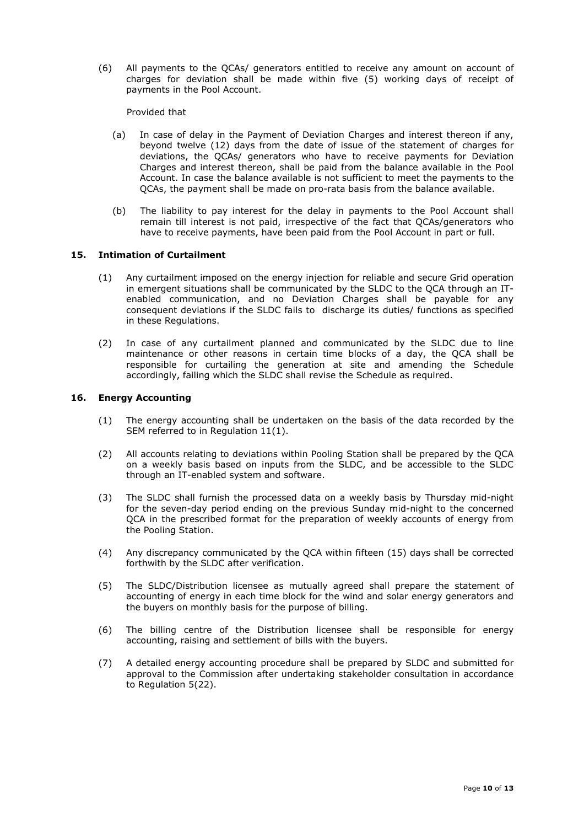(6) All payments to the QCAs/ generators entitled to receive any amount on account of charges for deviation shall be made within five (5) working days of receipt of payments in the Pool Account.

Provided that

- (a) In case of delay in the Payment of Deviation Charges and interest thereon if any, beyond twelve (12) days from the date of issue of the statement of charges for deviations, the QCAs/ generators who have to receive payments for Deviation Charges and interest thereon, shall be paid from the balance available in the Pool Account. In case the balance available is not sufficient to meet the payments to the QCAs, the payment shall be made on pro-rata basis from the balance available.
- (b) The liability to pay interest for the delay in payments to the Pool Account shall remain till interest is not paid, irrespective of the fact that QCAs/generators who have to receive payments, have been paid from the Pool Account in part or full.

## **15. Intimation of Curtailment**

- (1) Any curtailment imposed on the energy injection for reliable and secure Grid operation in emergent situations shall be communicated by the SLDC to the QCA through an ITenabled communication, and no Deviation Charges shall be payable for any consequent deviations if the SLDC fails to discharge its duties/ functions as specified in these Regulations.
- (2) In case of any curtailment planned and communicated by the SLDC due to line maintenance or other reasons in certain time blocks of a day, the QCA shall be responsible for curtailing the generation at site and amending the Schedule accordingly, failing which the SLDC shall revise the Schedule as required.

## **16. Energy Accounting**

- (1) The energy accounting shall be undertaken on the basis of the data recorded by the SEM referred to in Regulation 11(1).
- (2) All accounts relating to deviations within Pooling Station shall be prepared by the QCA on a weekly basis based on inputs from the SLDC, and be accessible to the SLDC through an IT-enabled system and software.
- (3) The SLDC shall furnish the processed data on a weekly basis by Thursday mid-night for the seven-day period ending on the previous Sunday mid-night to the concerned QCA in the prescribed format for the preparation of weekly accounts of energy from the Pooling Station.
- (4) Any discrepancy communicated by the QCA within fifteen (15) days shall be corrected forthwith by the SLDC after verification.
- (5) The SLDC/Distribution licensee as mutually agreed shall prepare the statement of accounting of energy in each time block for the wind and solar energy generators and the buyers on monthly basis for the purpose of billing.
- (6) The billing centre of the Distribution licensee shall be responsible for energy accounting, raising and settlement of bills with the buyers.
- (7) A detailed energy accounting procedure shall be prepared by SLDC and submitted for approval to the Commission after undertaking stakeholder consultation in accordance to Regulation 5(22).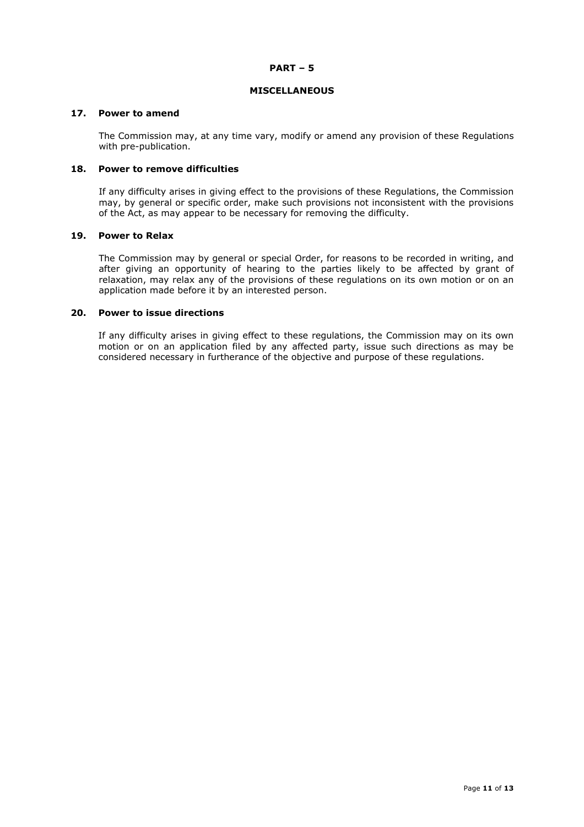#### **PART – 5**

#### **MISCELLANEOUS**

#### **17. Power to amend**

The Commission may, at any time vary, modify or amend any provision of these Regulations with pre-publication.

## **18. Power to remove difficulties**

If any difficulty arises in giving effect to the provisions of these Regulations, the Commission may, by general or specific order, make such provisions not inconsistent with the provisions of the Act, as may appear to be necessary for removing the difficulty.

#### **19. Power to Relax**

The Commission may by general or special Order, for reasons to be recorded in writing, and after giving an opportunity of hearing to the parties likely to be affected by grant of relaxation, may relax any of the provisions of these regulations on its own motion or on an application made before it by an interested person.

#### **20. Power to issue directions**

If any difficulty arises in giving effect to these regulations, the Commission may on its own motion or on an application filed by any affected party, issue such directions as may be considered necessary in furtherance of the objective and purpose of these regulations.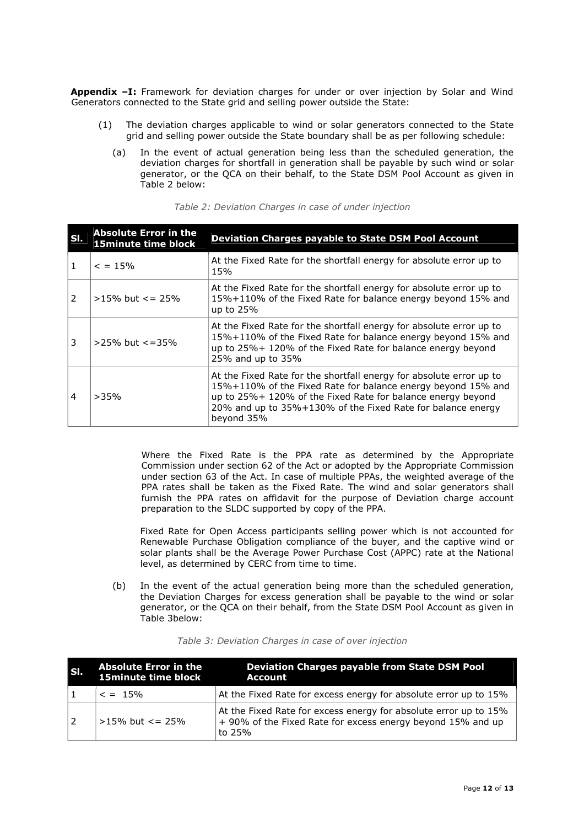**Appendix –I:** Framework for deviation charges for under or over injection by Solar and Wind Generators connected to the State grid and selling power outside the State:

- (1) The deviation charges applicable to wind or solar generators connected to the State grid and selling power outside the State boundary shall be as per following schedule:
	- (a) In the event of actual generation being less than the scheduled generation, the deviation charges for shortfall in generation shall be payable by such wind or solar generator, or the QCA on their behalf, to the State DSM Pool Account as given in Table 2 below:

| ISI.          | <b>Absolute Error in the</b><br>15minute time block | <b>Deviation Charges payable to State DSM Pool Account</b>                                                                                                                                                                                                                      |
|---------------|-----------------------------------------------------|---------------------------------------------------------------------------------------------------------------------------------------------------------------------------------------------------------------------------------------------------------------------------------|
|               | $\leq$ = 15%                                        | At the Fixed Rate for the shortfall energy for absolute error up to<br>15%                                                                                                                                                                                                      |
| $\mathcal{P}$ | $>15\%$ but $\leq$ 25%                              | At the Fixed Rate for the shortfall energy for absolute error up to<br>15%+110% of the Fixed Rate for balance energy beyond 15% and<br>up to $25%$                                                                                                                              |
| 3             | $>25\%$ but $\lt$ =35%                              | At the Fixed Rate for the shortfall energy for absolute error up to<br>15%+110% of the Fixed Rate for balance energy beyond 15% and<br>up to 25%+ 120% of the Fixed Rate for balance energy beyond<br>25% and up to 35%                                                         |
| 4             | >35%                                                | At the Fixed Rate for the shortfall energy for absolute error up to<br>15%+110% of the Fixed Rate for balance energy beyond 15% and<br>up to 25%+ 120% of the Fixed Rate for balance energy beyond<br>20% and up to 35%+130% of the Fixed Rate for balance energy<br>beyond 35% |

#### Table 2: Deviation Charges in case of under injection

Where the Fixed Rate is the PPA rate as determined by the Appropriate Commission under section 62 of the Act or adopted by the Appropriate Commission under section 63 of the Act. In case of multiple PPAs, the weighted average of the PPA rates shall be taken as the Fixed Rate. The wind and solar generators shall furnish the PPA rates on affidavit for the purpose of Deviation charge account preparation to the SLDC supported by copy of the PPA.

Fixed Rate for Open Access participants selling power which is not accounted for Renewable Purchase Obligation compliance of the buyer, and the captive wind or solar plants shall be the Average Power Purchase Cost (APPC) rate at the National level, as determined by CERC from time to time.

(b) In the event of the actual generation being more than the scheduled generation, the Deviation Charges for excess generation shall be payable to the wind or solar generator, or the QCA on their behalf, from the State DSM Pool Account as given in Table 3below:

| SI. | <b>Absolute Error in the</b><br>15minute time block | Deviation Charges payable from State DSM Pool<br>Account                                                                                    |
|-----|-----------------------------------------------------|---------------------------------------------------------------------------------------------------------------------------------------------|
|     | $\epsilon = 15\%$                                   | At the Fixed Rate for excess energy for absolute error up to 15%                                                                            |
| 2   | $>15\%$ but $\leq$ 25%                              | At the Fixed Rate for excess energy for absolute error up to 15%<br>$+$ 90% of the Fixed Rate for excess energy beyond 15% and up<br>to 25% |

| Table 3: Deviation Charges in case of over injection |  |  |  |
|------------------------------------------------------|--|--|--|
|------------------------------------------------------|--|--|--|